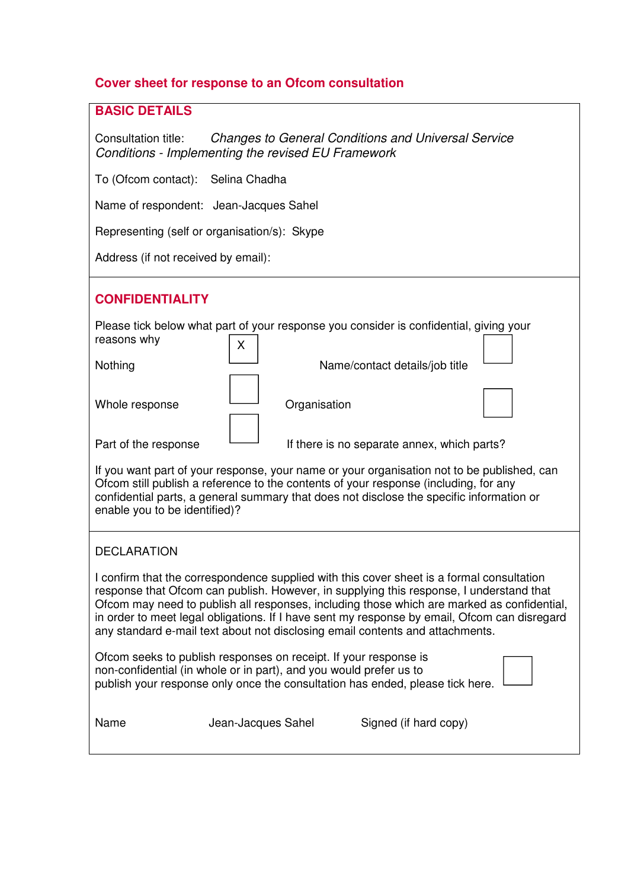# **Cover sheet for response to an Ofcom consultation**

# **BASIC DETAILS**

Consultation title: Changes to General Conditions and Universal Service Conditions - Implementing the revised EU Framework

To (Ofcom contact): Selina Chadha

Name of respondent: Jean-Jacques Sahel

Representing (self or organisation/s): Skype

Address (if not received by email):

# **CONFIDENTIALITY**

Please tick below what part of your response you consider is confidential, giving your  $\sqrt{2}$ reasons why ٦

| Nothing              | х | Name/contact details/job title              |  |
|----------------------|---|---------------------------------------------|--|
| Whole response       |   | Organisation                                |  |
| Part of the response |   | If there is no separate annex, which parts? |  |

If you want part of your response, your name or your organisation not to be published, can Ofcom still publish a reference to the contents of your response (including, for any confidential parts, a general summary that does not disclose the specific information or enable you to be identified)?

### DECLARATION

I confirm that the correspondence supplied with this cover sheet is a formal consultation response that Ofcom can publish. However, in supplying this response, I understand that Ofcom may need to publish all responses, including those which are marked as confidential, in order to meet legal obligations. If I have sent my response by email, Ofcom can disregard any standard e-mail text about not disclosing email contents and attachments.

| Ofcom seeks to publish responses on receipt. If your response is                                                                                    |  |
|-----------------------------------------------------------------------------------------------------------------------------------------------------|--|
| non-confidential (in whole or in part), and you would prefer us to<br>publish your response only once the consultation has ended, please tick here. |  |
|                                                                                                                                                     |  |

### Name Jean-Jacques Sahel Signed (if hard copy)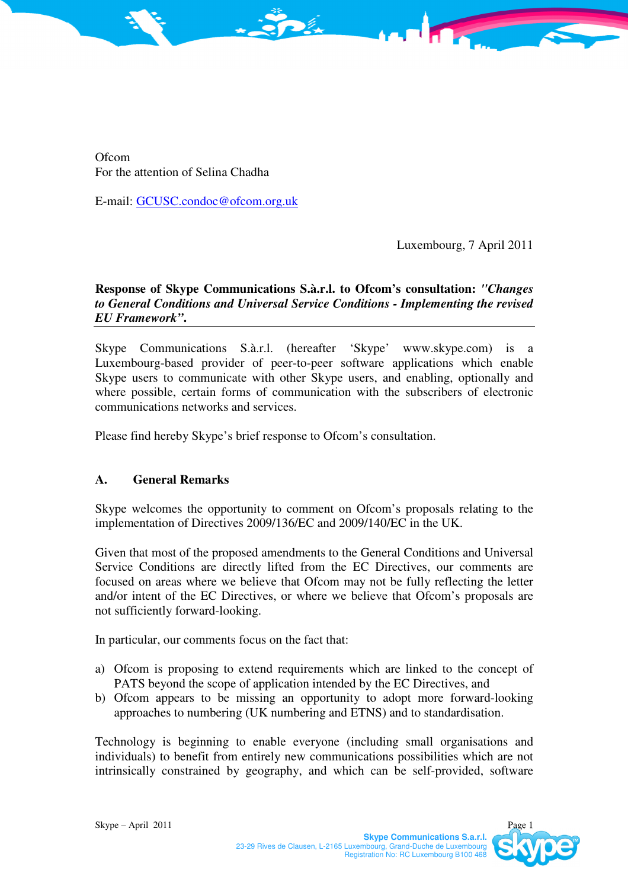**Ofcom** For the attention of Selina Chadha

E-mail: GCUSC.condoc@ofcom.org.uk

Luxembourg, 7 April 2011

# **Response of Skype Communications S.à.r.l. to Ofcom's consultation:** *"Changes to General Conditions and Universal Service Conditions - Implementing the revised EU Framework"***.**

Skype Communications S.à.r.l. (hereafter 'Skype' www.skype.com) is a Luxembourg-based provider of peer-to-peer software applications which enable Skype users to communicate with other Skype users, and enabling, optionally and where possible, certain forms of communication with the subscribers of electronic communications networks and services.

Please find hereby Skype's brief response to Ofcom's consultation.

### **A. General Remarks**

Skype welcomes the opportunity to comment on Ofcom's proposals relating to the implementation of Directives 2009/136/EC and 2009/140/EC in the UK.

Given that most of the proposed amendments to the General Conditions and Universal Service Conditions are directly lifted from the EC Directives, our comments are focused on areas where we believe that Ofcom may not be fully reflecting the letter and/or intent of the EC Directives, or where we believe that Ofcom's proposals are not sufficiently forward-looking.

In particular, our comments focus on the fact that:

- a) Ofcom is proposing to extend requirements which are linked to the concept of PATS beyond the scope of application intended by the EC Directives, and
- b) Ofcom appears to be missing an opportunity to adopt more forward-looking approaches to numbering (UK numbering and ETNS) and to standardisation.

Technology is beginning to enable everyone (including small organisations and individuals) to benefit from entirely new communications possibilities which are not intrinsically constrained by geography, and which can be self-provided, software

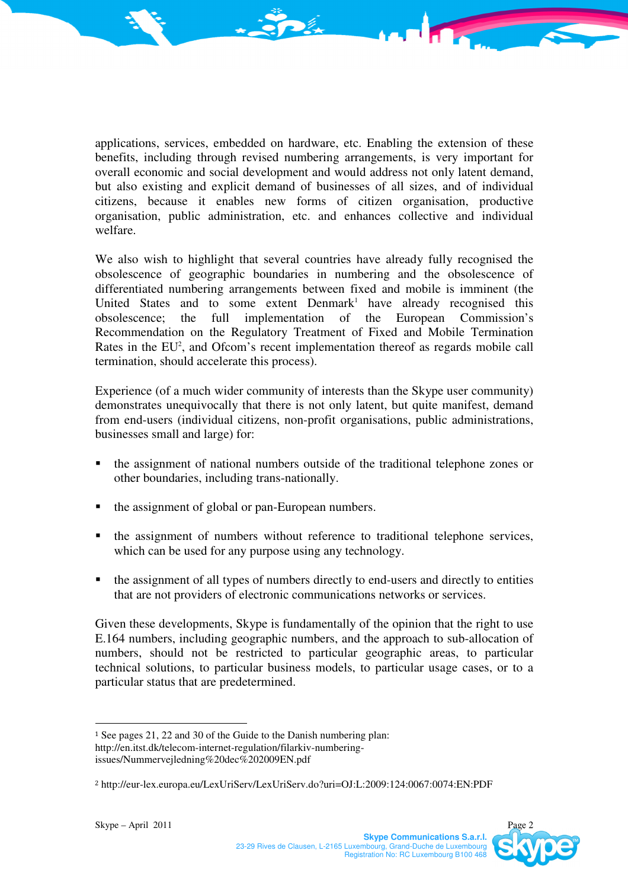applications, services, embedded on hardware, etc. Enabling the extension of these benefits, including through revised numbering arrangements, is very important for overall economic and social development and would address not only latent demand, but also existing and explicit demand of businesses of all sizes, and of individual citizens, because it enables new forms of citizen organisation, productive organisation, public administration, etc. and enhances collective and individual welfare.

We also wish to highlight that several countries have already fully recognised the obsolescence of geographic boundaries in numbering and the obsolescence of differentiated numbering arrangements between fixed and mobile is imminent (the United States and to some extent  $Dennark<sup>1</sup>$  have already recognised this obsolescence; the full implementation of the European Commission's Recommendation on the Regulatory Treatment of Fixed and Mobile Termination Rates in the EU<sup>2</sup>, and Ofcom's recent implementation thereof as regards mobile call termination, should accelerate this process).

Experience (of a much wider community of interests than the Skype user community) demonstrates unequivocally that there is not only latent, but quite manifest, demand from end-users (individual citizens, non-profit organisations, public administrations, businesses small and large) for:

- the assignment of national numbers outside of the traditional telephone zones or other boundaries, including trans-nationally.
- the assignment of global or pan-European numbers.
- the assignment of numbers without reference to traditional telephone services, which can be used for any purpose using any technology.
- the assignment of all types of numbers directly to end-users and directly to entities that are not providers of electronic communications networks or services.

Given these developments, Skype is fundamentally of the opinion that the right to use E.164 numbers, including geographic numbers, and the approach to sub-allocation of numbers, should not be restricted to particular geographic areas, to particular technical solutions, to particular business models, to particular usage cases, or to a particular status that are predetermined.

 $\overline{a}$ 

<sup>1</sup> See pages 21, 22 and 30 of the Guide to the Danish numbering plan: http://en.itst.dk/telecom-internet-regulation/filarkiv-numbering-

issues/Nummervejledning%20dec%202009EN.pdf

<sup>2</sup> http://eur-lex.europa.eu/LexUriServ/LexUriServ.do?uri=OJ:L:2009:124:0067:0074:EN:PDF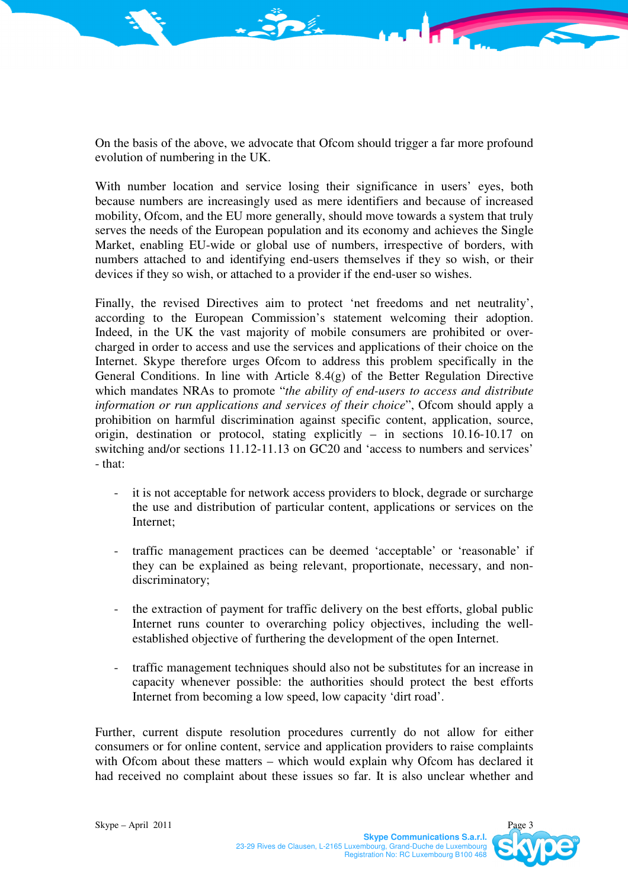On the basis of the above, we advocate that Ofcom should trigger a far more profound evolution of numbering in the UK.

With number location and service losing their significance in users' eyes, both because numbers are increasingly used as mere identifiers and because of increased mobility, Ofcom, and the EU more generally, should move towards a system that truly serves the needs of the European population and its economy and achieves the Single Market, enabling EU-wide or global use of numbers, irrespective of borders, with numbers attached to and identifying end-users themselves if they so wish, or their devices if they so wish, or attached to a provider if the end-user so wishes.

Finally, the revised Directives aim to protect 'net freedoms and net neutrality', according to the European Commission's statement welcoming their adoption. Indeed, in the UK the vast majority of mobile consumers are prohibited or overcharged in order to access and use the services and applications of their choice on the Internet. Skype therefore urges Ofcom to address this problem specifically in the General Conditions. In line with Article 8.4(g) of the Better Regulation Directive which mandates NRAs to promote "*the ability of end-users to access and distribute information or run applications and services of their choice*", Ofcom should apply a prohibition on harmful discrimination against specific content, application, source, origin, destination or protocol, stating explicitly – in sections 10.16-10.17 on switching and/or sections 11.12-11.13 on GC20 and 'access to numbers and services' - that:

- it is not acceptable for network access providers to block, degrade or surcharge the use and distribution of particular content, applications or services on the Internet;
- traffic management practices can be deemed 'acceptable' or 'reasonable' if they can be explained as being relevant, proportionate, necessary, and nondiscriminatory;
- the extraction of payment for traffic delivery on the best efforts, global public Internet runs counter to overarching policy objectives, including the wellestablished objective of furthering the development of the open Internet.
- traffic management techniques should also not be substitutes for an increase in capacity whenever possible: the authorities should protect the best efforts Internet from becoming a low speed, low capacity 'dirt road'.

Further, current dispute resolution procedures currently do not allow for either consumers or for online content, service and application providers to raise complaints with Ofcom about these matters – which would explain why Ofcom has declared it had received no complaint about these issues so far. It is also unclear whether and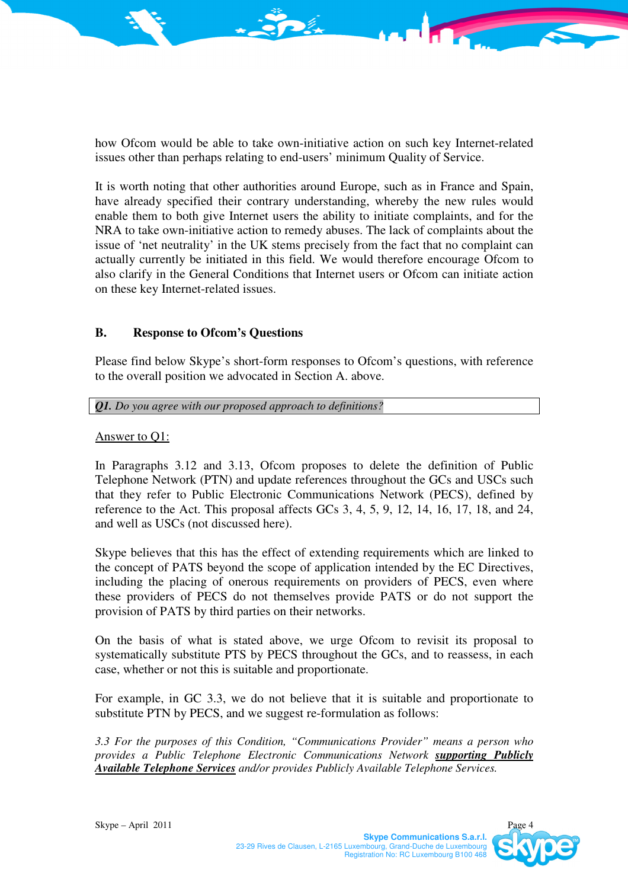how Ofcom would be able to take own-initiative action on such key Internet-related issues other than perhaps relating to end-users' minimum Quality of Service.

It is worth noting that other authorities around Europe, such as in France and Spain, have already specified their contrary understanding, whereby the new rules would enable them to both give Internet users the ability to initiate complaints, and for the NRA to take own-initiative action to remedy abuses. The lack of complaints about the issue of 'net neutrality' in the UK stems precisely from the fact that no complaint can actually currently be initiated in this field. We would therefore encourage Ofcom to also clarify in the General Conditions that Internet users or Ofcom can initiate action on these key Internet-related issues.

### **B. Response to Ofcom's Questions**

Please find below Skype's short-form responses to Ofcom's questions, with reference to the overall position we advocated in Section A. above.

#### *Q1. Do you agree with our proposed approach to definitions?*

#### Answer to Q1:

In Paragraphs 3.12 and 3.13, Ofcom proposes to delete the definition of Public Telephone Network (PTN) and update references throughout the GCs and USCs such that they refer to Public Electronic Communications Network (PECS), defined by reference to the Act. This proposal affects GCs 3, 4, 5, 9, 12, 14, 16, 17, 18, and 24, and well as USCs (not discussed here).

Skype believes that this has the effect of extending requirements which are linked to the concept of PATS beyond the scope of application intended by the EC Directives, including the placing of onerous requirements on providers of PECS, even where these providers of PECS do not themselves provide PATS or do not support the provision of PATS by third parties on their networks.

On the basis of what is stated above, we urge Ofcom to revisit its proposal to systematically substitute PTS by PECS throughout the GCs, and to reassess, in each case, whether or not this is suitable and proportionate.

For example, in GC 3.3, we do not believe that it is suitable and proportionate to substitute PTN by PECS, and we suggest re-formulation as follows:

*3.3 For the purposes of this Condition, "Communications Provider" means a person who provides a Public Telephone Electronic Communications Network supporting Publicly Available Telephone Services and/or provides Publicly Available Telephone Services.*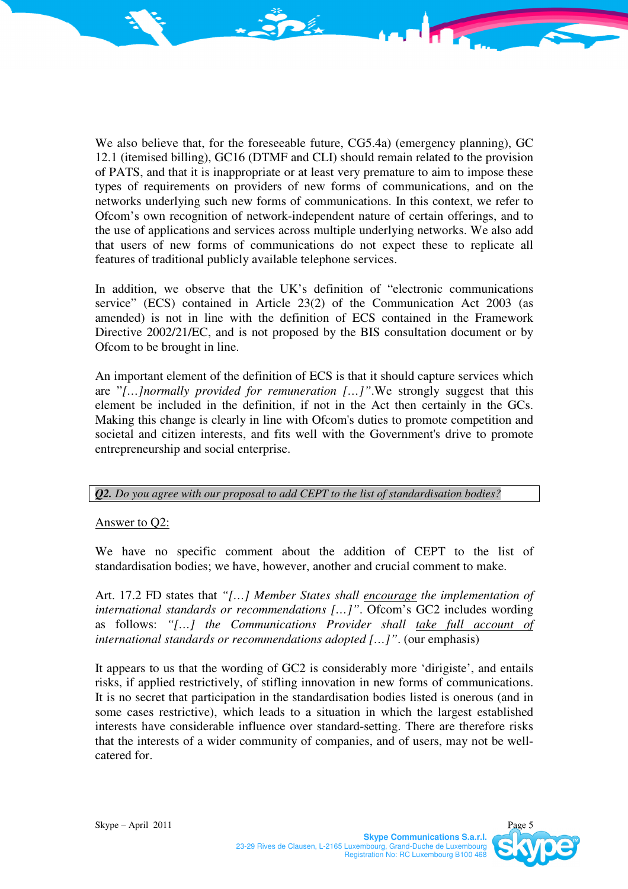We also believe that, for the foreseeable future, CG5.4a) (emergency planning), GC 12.1 (itemised billing), GC16 (DTMF and CLI) should remain related to the provision of PATS, and that it is inappropriate or at least very premature to aim to impose these types of requirements on providers of new forms of communications, and on the networks underlying such new forms of communications. In this context, we refer to Ofcom's own recognition of network-independent nature of certain offerings, and to the use of applications and services across multiple underlying networks. We also add that users of new forms of communications do not expect these to replicate all features of traditional publicly available telephone services.

In addition, we observe that the UK's definition of "electronic communications service" (ECS) contained in Article 23(2) of the Communication Act 2003 (as amended) is not in line with the definition of ECS contained in the Framework Directive 2002/21/EC, and is not proposed by the BIS consultation document or by Ofcom to be brought in line.

An important element of the definition of ECS is that it should capture services which are "*[…]normally provided for remuneration […]"*.We strongly suggest that this element be included in the definition, if not in the Act then certainly in the GCs. Making this change is clearly in line with Ofcom's duties to promote competition and societal and citizen interests, and fits well with the Government's drive to promote entrepreneurship and social enterprise.

### *Q2. Do you agree with our proposal to add CEPT to the list of standardisation bodies?*

## Answer to Q2:

We have no specific comment about the addition of CEPT to the list of standardisation bodies; we have, however, another and crucial comment to make.

Art. 17.2 FD states that *"[…] Member States shall encourage the implementation of international standards or recommendations [...]"*. Ofcom's GC2 includes wording as follows: *"[…] the Communications Provider shall take full account of international standards or recommendations adopted […]"*. (our emphasis)

It appears to us that the wording of GC2 is considerably more 'dirigiste', and entails risks, if applied restrictively, of stifling innovation in new forms of communications. It is no secret that participation in the standardisation bodies listed is onerous (and in some cases restrictive), which leads to a situation in which the largest established interests have considerable influence over standard-setting. There are therefore risks that the interests of a wider community of companies, and of users, may not be wellcatered for.

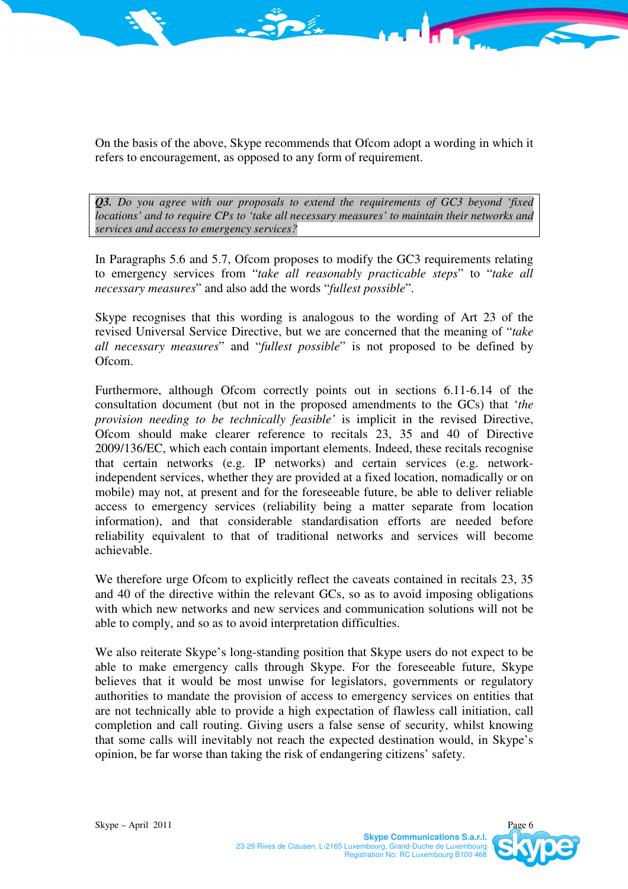On the basis of the above, Skype recommends that Ofcom adopt a wording in which it refers to encouragement, as opposed to any form of requirement.

*Q3. Do you agree with our proposals to extend the requirements of GC3 beyond 'fixed locations' and to require CPs to 'take all necessary measures' to maintain their networks and services and access to emergency services?* 

In Paragraphs 5.6 and 5.7, Ofcom proposes to modify the GC3 requirements relating to emergency services from "*take all reasonably practicable steps*" to "*take all necessary measures*" and also add the words "*fullest possible*".

Skype recognises that this wording is analogous to the wording of Art 23 of the revised Universal Service Directive, but we are concerned that the meaning of "*take all necessary measures*" and "*fullest possible*" is not proposed to be defined by Ofcom.

Furthermore, although Ofcom correctly points out in sections 6.11-6.14 of the consultation document (but not in the proposed amendments to the GCs) that '*the provision needing to be technically feasible'* is implicit in the revised Directive, Ofcom should make clearer reference to recitals 23, 35 and 40 of Directive 2009/136/EC, which each contain important elements. Indeed, these recitals recognise that certain networks (e.g. IP networks) and certain services (e.g. networkindependent services, whether they are provided at a fixed location, nomadically or on mobile) may not, at present and for the foreseeable future, be able to deliver reliable access to emergency services (reliability being a matter separate from location information), and that considerable standardisation efforts are needed before reliability equivalent to that of traditional networks and services will become achievable.

We therefore urge Ofcom to explicitly reflect the caveats contained in recitals 23, 35 and 40 of the directive within the relevant GCs, so as to avoid imposing obligations with which new networks and new services and communication solutions will not be able to comply, and so as to avoid interpretation difficulties.

We also reiterate Skype's long-standing position that Skype users do not expect to be able to make emergency calls through Skype. For the foreseeable future, Skype believes that it would be most unwise for legislators, governments or regulatory authorities to mandate the provision of access to emergency services on entities that are not technically able to provide a high expectation of flawless call initiation, call completion and call routing. Giving users a false sense of security, whilst knowing that some calls will inevitably not reach the expected destination would, in Skype's opinion, be far worse than taking the risk of endangering citizens' safety.

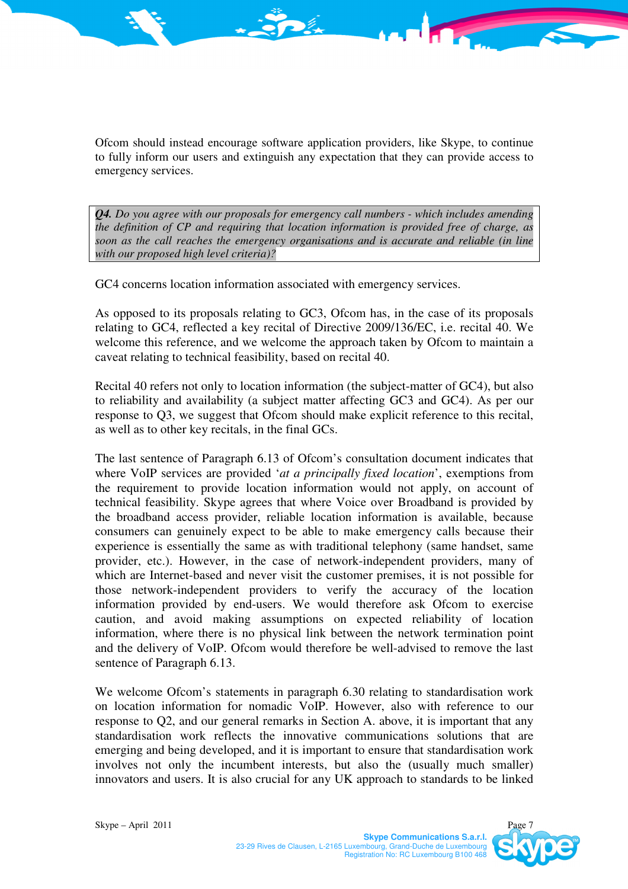Ofcom should instead encourage software application providers, like Skype, to continue to fully inform our users and extinguish any expectation that they can provide access to emergency services.

*Q4. Do you agree with our proposals for emergency call numbers - which includes amending the definition of CP and requiring that location information is provided free of charge, as soon as the call reaches the emergency organisations and is accurate and reliable (in line with our proposed high level criteria)?* 

GC4 concerns location information associated with emergency services.

As opposed to its proposals relating to GC3, Ofcom has, in the case of its proposals relating to GC4, reflected a key recital of Directive 2009/136/EC, i.e. recital 40. We welcome this reference, and we welcome the approach taken by Ofcom to maintain a caveat relating to technical feasibility, based on recital 40.

Recital 40 refers not only to location information (the subject-matter of GC4), but also to reliability and availability (a subject matter affecting GC3 and GC4). As per our response to Q3, we suggest that Ofcom should make explicit reference to this recital, as well as to other key recitals, in the final GCs.

The last sentence of Paragraph 6.13 of Ofcom's consultation document indicates that where VoIP services are provided '*at a principally fixed location*', exemptions from the requirement to provide location information would not apply, on account of technical feasibility. Skype agrees that where Voice over Broadband is provided by the broadband access provider, reliable location information is available, because consumers can genuinely expect to be able to make emergency calls because their experience is essentially the same as with traditional telephony (same handset, same provider, etc.). However, in the case of network-independent providers, many of which are Internet-based and never visit the customer premises, it is not possible for those network-independent providers to verify the accuracy of the location information provided by end-users. We would therefore ask Ofcom to exercise caution, and avoid making assumptions on expected reliability of location information, where there is no physical link between the network termination point and the delivery of VoIP. Ofcom would therefore be well-advised to remove the last sentence of Paragraph 6.13.

We welcome Ofcom's statements in paragraph 6.30 relating to standardisation work on location information for nomadic VoIP. However, also with reference to our response to Q2, and our general remarks in Section A. above, it is important that any standardisation work reflects the innovative communications solutions that are emerging and being developed, and it is important to ensure that standardisation work involves not only the incumbent interests, but also the (usually much smaller) innovators and users. It is also crucial for any UK approach to standards to be linked

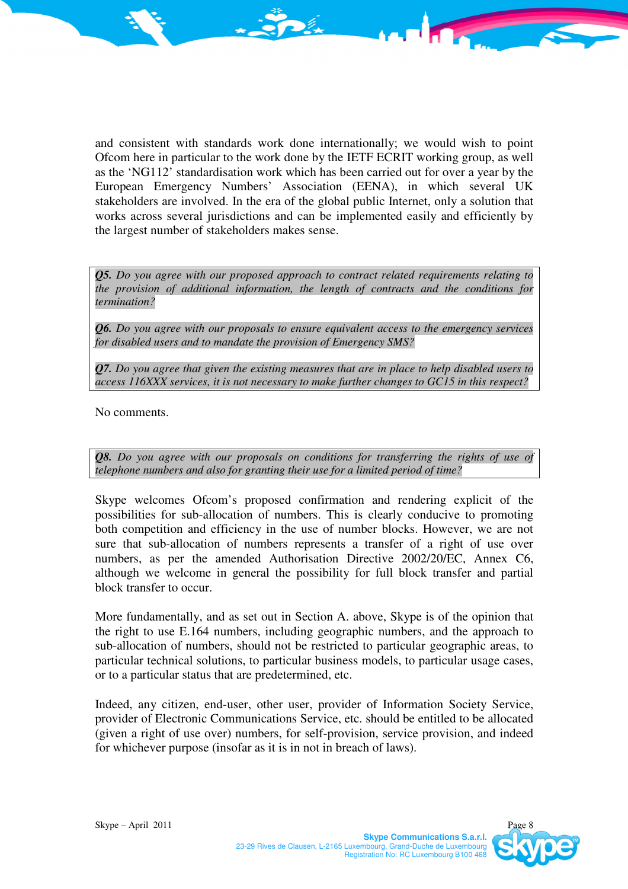and consistent with standards work done internationally; we would wish to point Ofcom here in particular to the work done by the IETF ECRIT working group, as well as the 'NG112' standardisation work which has been carried out for over a year by the European Emergency Numbers' Association (EENA), in which several UK stakeholders are involved. In the era of the global public Internet, only a solution that works across several jurisdictions and can be implemented easily and efficiently by the largest number of stakeholders makes sense.

*Q5. Do you agree with our proposed approach to contract related requirements relating to the provision of additional information, the length of contracts and the conditions for termination?* 

*Q6. Do you agree with our proposals to ensure equivalent access to the emergency services for disabled users and to mandate the provision of Emergency SMS?* 

*Q7. Do you agree that given the existing measures that are in place to help disabled users to access 116XXX services, it is not necessary to make further changes to GC15 in this respect?* 

No comments.

*Q8.* Do you agree with our proposals on conditions for transferring the rights of use of *telephone numbers and also for granting their use for a limited period of time?* 

Skype welcomes Ofcom's proposed confirmation and rendering explicit of the possibilities for sub-allocation of numbers. This is clearly conducive to promoting both competition and efficiency in the use of number blocks. However, we are not sure that sub-allocation of numbers represents a transfer of a right of use over numbers, as per the amended Authorisation Directive 2002/20/EC, Annex C6, although we welcome in general the possibility for full block transfer and partial block transfer to occur.

More fundamentally, and as set out in Section A. above, Skype is of the opinion that the right to use E.164 numbers, including geographic numbers, and the approach to sub-allocation of numbers, should not be restricted to particular geographic areas, to particular technical solutions, to particular business models, to particular usage cases, or to a particular status that are predetermined, etc.

Indeed, any citizen, end-user, other user, provider of Information Society Service, provider of Electronic Communications Service, etc. should be entitled to be allocated (given a right of use over) numbers, for self-provision, service provision, and indeed for whichever purpose (insofar as it is in not in breach of laws).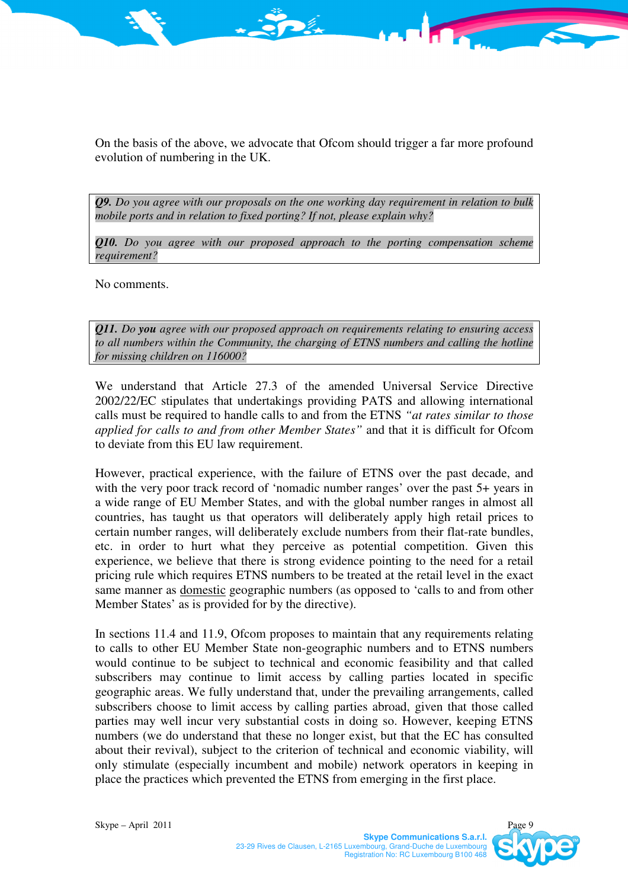On the basis of the above, we advocate that Ofcom should trigger a far more profound evolution of numbering in the UK.

*Q9. Do you agree with our proposals on the one working day requirement in relation to bulk mobile ports and in relation to fixed porting? If not, please explain why?* 

*Q10. Do you agree with our proposed approach to the porting compensation scheme requirement?* 

No comments.

*Q11. Do you agree with our proposed approach on requirements relating to ensuring access*  to all numbers within the Community, the charging of ETNS numbers and calling the hotline *for missing children on 116000?* 

We understand that Article 27.3 of the amended Universal Service Directive 2002/22/EC stipulates that undertakings providing PATS and allowing international calls must be required to handle calls to and from the ETNS *"at rates similar to those applied for calls to and from other Member States"* and that it is difficult for Ofcom to deviate from this EU law requirement.

However, practical experience, with the failure of ETNS over the past decade, and with the very poor track record of 'nomadic number ranges' over the past 5+ years in a wide range of EU Member States, and with the global number ranges in almost all countries, has taught us that operators will deliberately apply high retail prices to certain number ranges, will deliberately exclude numbers from their flat-rate bundles, etc. in order to hurt what they perceive as potential competition. Given this experience, we believe that there is strong evidence pointing to the need for a retail pricing rule which requires ETNS numbers to be treated at the retail level in the exact same manner as domestic geographic numbers (as opposed to 'calls to and from other Member States' as is provided for by the directive).

In sections 11.4 and 11.9, Ofcom proposes to maintain that any requirements relating to calls to other EU Member State non-geographic numbers and to ETNS numbers would continue to be subject to technical and economic feasibility and that called subscribers may continue to limit access by calling parties located in specific geographic areas. We fully understand that, under the prevailing arrangements, called subscribers choose to limit access by calling parties abroad, given that those called parties may well incur very substantial costs in doing so. However, keeping ETNS numbers (we do understand that these no longer exist, but that the EC has consulted about their revival), subject to the criterion of technical and economic viability, will only stimulate (especially incumbent and mobile) network operators in keeping in place the practices which prevented the ETNS from emerging in the first place.